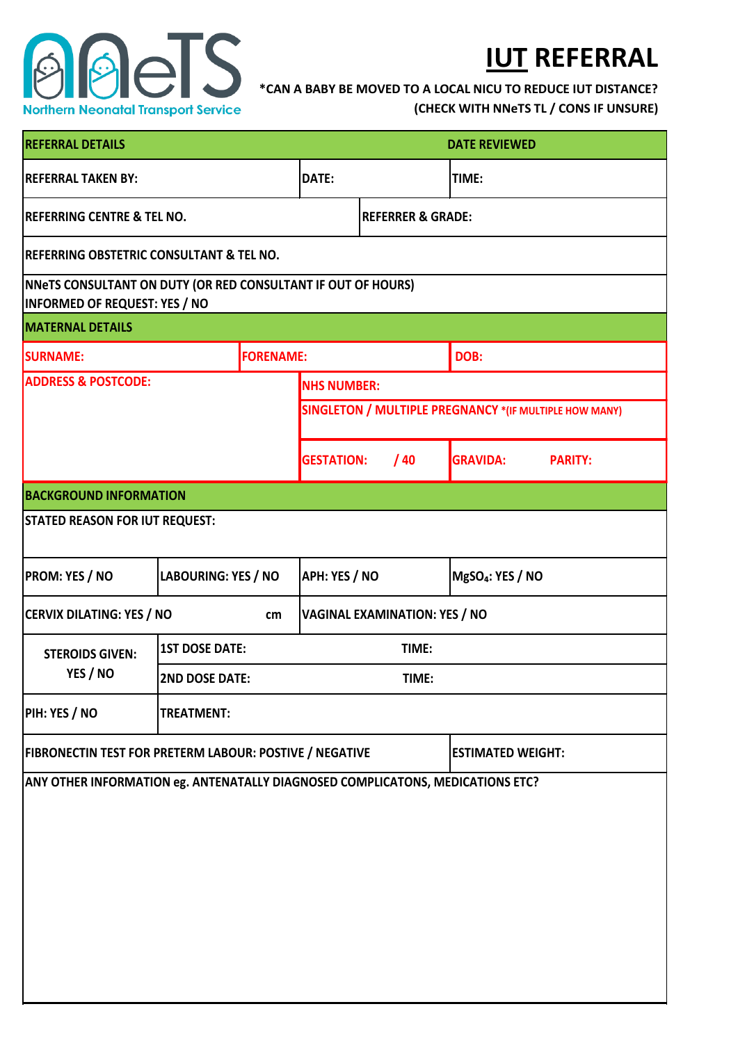

## **IUT REFERRAL**

**\*CAN A BABY BE MOVED TO A LOCAL NICU TO REDUCE IUT DISTANCE?** 

**(CHECK WITH NNeTS TL / CONS IF UNSURE)**

| <b>REFERRAL DETAILS</b>                                                                                     | <b>DATE REVIEWED</b>                 |                  |                                                        |                              |                              |                 |                |  |  |  |
|-------------------------------------------------------------------------------------------------------------|--------------------------------------|------------------|--------------------------------------------------------|------------------------------|------------------------------|-----------------|----------------|--|--|--|
| <b>REFERRAL TAKEN BY:</b>                                                                                   |                                      | <b>DATE:</b>     |                                                        | TIME:                        |                              |                 |                |  |  |  |
| <b>REFERRING CENTRE &amp; TEL NO.</b>                                                                       |                                      |                  |                                                        | <b>REFERRER &amp; GRADE:</b> |                              |                 |                |  |  |  |
| <b>REFERRING OBSTETRIC CONSULTANT &amp; TEL NO.</b>                                                         |                                      |                  |                                                        |                              |                              |                 |                |  |  |  |
| <b>NNETS CONSULTANT ON DUTY (OR RED CONSULTANT IF OUT OF HOURS)</b><br><b>INFORMED OF REQUEST: YES / NO</b> |                                      |                  |                                                        |                              |                              |                 |                |  |  |  |
| <b>MATERNAL DETAILS</b>                                                                                     |                                      |                  |                                                        |                              |                              |                 |                |  |  |  |
| <b>SURNAME:</b>                                                                                             |                                      | <b>FORENAME:</b> |                                                        |                              |                              | DOB:            |                |  |  |  |
| <b>ADDRESS &amp; POSTCODE:</b>                                                                              |                                      |                  | <b>NHS NUMBER:</b>                                     |                              |                              |                 |                |  |  |  |
|                                                                                                             |                                      |                  | SINGLETON / MULTIPLE PREGNANCY *(IF MULTIPLE HOW MANY) |                              |                              |                 |                |  |  |  |
|                                                                                                             |                                      |                  | <b>GESTATION:</b>                                      |                              | /40                          | <b>GRAVIDA:</b> | <b>PARITY:</b> |  |  |  |
| <b>BACKGROUND INFORMATION</b>                                                                               |                                      |                  |                                                        |                              |                              |                 |                |  |  |  |
| <b>STATED REASON FOR IUT REQUEST:</b>                                                                       |                                      |                  |                                                        |                              |                              |                 |                |  |  |  |
| <b>PROM: YES / NO</b><br><b>LABOURING: YES / NO</b>                                                         |                                      |                  | <b>APH: YES / NO</b>                                   |                              | MgSO <sub>4</sub> : YES / NO |                 |                |  |  |  |
| <b>CERVIX DILATING: YES / NO</b>                                                                            | <b>VAGINAL EXAMINATION: YES / NO</b> |                  |                                                        |                              |                              |                 |                |  |  |  |
| <b>STEROIDS GIVEN:</b><br>YES / NO                                                                          | <b>1ST DOSE DATE:</b>                | TIME:            |                                                        |                              |                              |                 |                |  |  |  |
|                                                                                                             | <b>2ND DOSE DATE:</b><br>TIME:       |                  |                                                        |                              |                              |                 |                |  |  |  |
| PIH: YES / NO                                                                                               | <b>TREATMENT:</b>                    |                  |                                                        |                              |                              |                 |                |  |  |  |
| <b>FIBRONECTIN TEST FOR PRETERM LABOUR: POSTIVE / NEGATIVE</b>                                              |                                      |                  |                                                        | <b>ESTIMATED WEIGHT:</b>     |                              |                 |                |  |  |  |
| ANY OTHER INFORMATION eg. ANTENATALLY DIAGNOSED COMPLICATONS, MEDICATIONS ETC?                              |                                      |                  |                                                        |                              |                              |                 |                |  |  |  |